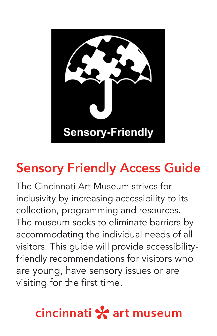

# Sensory Friendly Access Guide

The Cincinnati Art Museum strives for inclusivity by increasing accessibility to its collection, programming and resources. The museum seeks to eliminate barriers by accommodating the individual needs of all visitors. This guide will provide accessibilityfriendly recommendations for visitors who are young, have sensory issues or are visiting for the first time.

# cincinnati \* art museum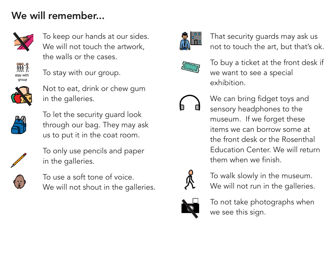# We will remember...



To keep our hands at our sides. We will not touch the artwork, the walls or the cases.



To stay with our group.



Not to eat, drink or chew gum in the galleries.



To let the security guard look through our bag. They may ask us to put it in the coat room.



To only use pencils and paper in the galleries.



To use a soft tone of voice. We will not shout in the galleries.



That security guards may ask us not to touch the art, but that's ok.



To buy a ticket at the front desk if we want to see a special exhibition.



We can bring fidget toys and sensory headphones to the museum. If we forget these items we can borrow some at the front desk or the Rosenthal Education Center. We will return them when we finish.



To walk slowly in the museum. We will not run in the galleries.



To not take photographs when we see this sign.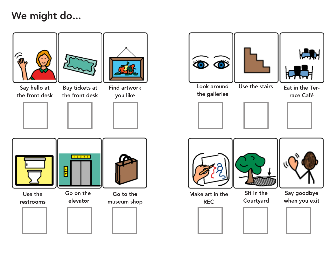# We might do...







Say hello at the front desk



**Find artwork** you like





Use the restrooms



elevator



Go to the museum shop





| Н   |  |
|-----|--|
| ▞▙▏ |  |

the galleries

Use the stairs Eat in the Ter-



race Café







Make art in the **REC** 

Courtyard

Say goodbye when you exit













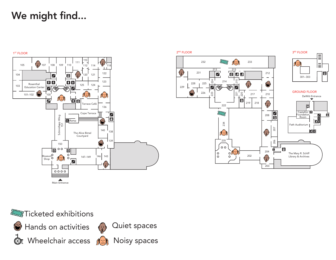# We might find...





 $\hat{C}$ Hands on activities **O** Wheelchair access **Ran** Noisy spaces



Quiet spaces